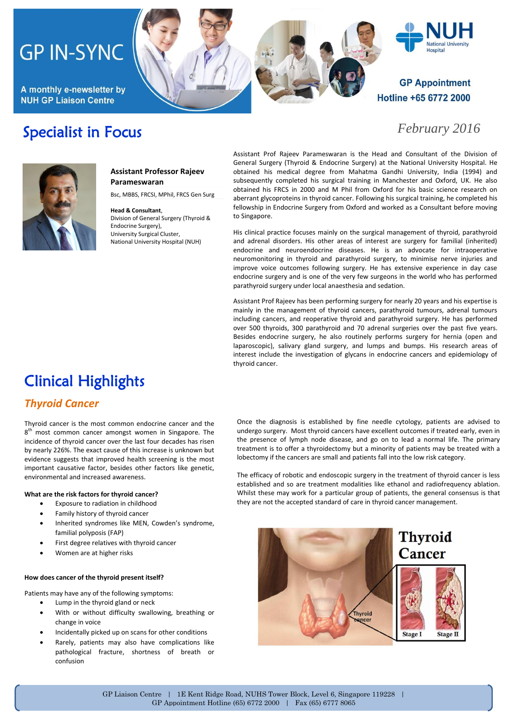# **GP IN-SYNC**

A monthly e-newsletter by **NUH GP Liaison Centre** 

Specialist in Focus



### *February 2016*

**Hospital** 



#### **Assistant Professor Rajeev Parameswaran**

Bsc, MBBS, FRCSI, MPhil, FRCS Gen Surg

**Head & Consultant**, Division of General Surgery (Thyroid & Endocrine Surgery), University Surgical Cluster, National University Hospital (NUH)

Assistant Prof Rajeev Parameswaran is the Head and Consultant of the Division of General Surgery (Thyroid & Endocrine Surgery) at the National University Hospital. He obtained his medical degree from Mahatma Gandhi University, India (1994) and subsequently completed his surgical training in Manchester and Oxford, UK. He also obtained his FRCS in 2000 and M Phil from Oxford for his basic science research on aberrant glycoproteins in thyroid cancer. Following his surgical training, he completed his fellowship in Endocrine Surgery from Oxford and worked as a Consultant before moving to Singapore.

His clinical practice focuses mainly on the surgical management of thyroid, parathyroid and adrenal disorders. His other areas of interest are surgery for familial (inherited) endocrine and neuroendocrine diseases. He is an advocate for intraoperative neuromonitoring in thyroid and parathyroid surgery, to minimise nerve injuries and improve voice outcomes following surgery. He has extensive experience in day case endocrine surgery and is one of the very few surgeons in the world who has performed parathyroid surgery under local anaesthesia and sedation.

Assistant Prof Rajeev has been performing surgery for nearly 20 years and his expertise is mainly in the management of thyroid cancers, parathyroid tumours, adrenal tumours including cancers, and reoperative thyroid and parathyroid surgery. He has performed over 500 thyroids, 300 parathyroid and 70 adrenal surgeries over the past five years. Besides endocrine surgery, he also routinely performs surgery for hernia (open and laparoscopic), salivary gland surgery, and lumps and bumps. His research areas of interest include the investigation of glycans in endocrine cancers and epidemiology of thyroid cancer.

## Clinical Highlights

### *Thyroid Cancer*

Thyroid cancer is the most common endocrine cancer and the 8<sup>th</sup> most common cancer amongst women in Singapore. The incidence of thyroid cancer over the last four decades has risen by nearly 226%. The exact cause of this increase is unknown but evidence suggests that improved health screening is the most important causative factor, besides other factors like genetic, environmental and increased awareness.

#### **What are the risk factors for thyroid cancer?**

- Exposure to radiation in childhood
- Family history of thyroid cancer
- Inherited syndromes like MEN, Cowden's syndrome, familial polyposis (FAP)
- First degree relatives with thyroid cancer
- Women are at higher risks

#### **How does cancer of the thyroid present itself?**

Patients may have any of the following symptoms:

- Lump in the thyroid gland or neck
- With or without difficulty swallowing, breathing or change in voice
- Incidentally picked up on scans for other conditions
- Rarely, patients may also have complications like pathological fracture, shortness of breath or confusion

Once the diagnosis is established by fine needle cytology, patients are advised to undergo surgery. Most thyroid cancers have excellent outcomes if treated early, even in the presence of lymph node disease, and go on to lead a normal life. The primary treatment is to offer a thyroidectomy but a minority of patients may be treated with a lobectomy if the cancers are small and patients fall into the low risk category.

The efficacy of robotic and endoscopic surgery in the treatment of thyroid cancer is less established and so are treatment modalities like ethanol and radiofrequency ablation. Whilst these may work for a particular group of patients, the general consensus is that they are not the accepted standard of care in thyroid cancer management.

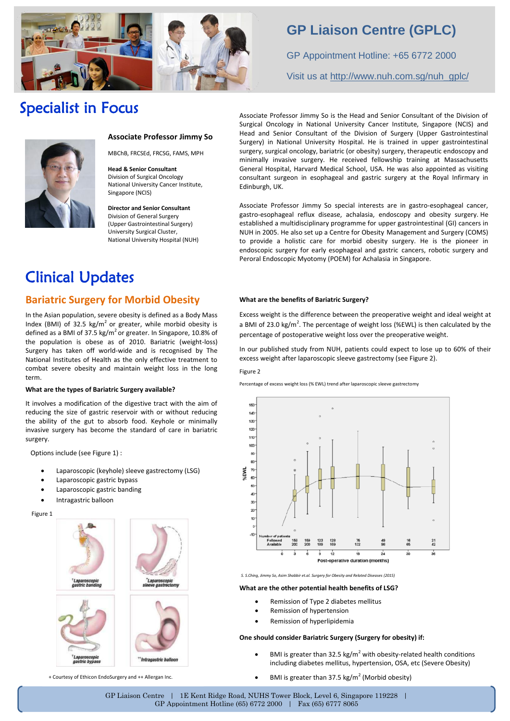

### **GP Liaison Centre (GPLC)**

GP Appointment Hotline: +65 6772 2000 Visit us at [http://www.nuh.com.sg/nuh\\_gplc/](http://www.nuh.com.sg/nuh_gplc/)

### Specialist in Focus



#### **Associate Professor Jimmy So**

MBChB, FRCSEd, FRCSG, FAMS, MPH

**Head & Senior Consultant** Division of Surgical Oncology National University Cancer Institute, Singapore (NCIS)

**Director and Senior Consultant** Division of General Surgery (Upper Gastrointestinal Surgery) University Surgical Cluster, National University Hospital (NUH)

### Clinical Updates

#### **Bariatric Surgery for Morbid Obesity**

In the Asian population, severe obesity is defined as a Body Mass Index (BMI) of 32.5 kg/m<sup>2</sup> or greater, while morbid obesity is defined as a BMI of 37.5 kg/ $m^2$  or greater. In Singapore, 10.8% of the population is obese as of 2010. Bariatric (weight-loss) Surgery has taken off world-wide and is recognised by The National Institutes of Health as the only effective treatment to combat severe obesity and maintain weight loss in the long term.

#### **What are the types of Bariatric Surgery available?**

It involves a modification of the digestive tract with the aim of reducing the size of gastric reservoir with or without reducing the ability of the gut to absorb food. Keyhole or minimally invasive surgery has become the standard of care in bariatric surgery.

Options include (see Figure 1) :

- Laparoscopic (keyhole) sleeve gastrectomy (LSG)
- Laparoscopic gastric bypass
- Laparoscopic gastric banding
- Intragastric balloon

Figure 1



Associate Professor Jimmy So is the Head and Senior Consultant of the Division of Surgical Oncology in National University Cancer Institute, Singapore (NCIS) and Head and Senior Consultant of the Division of Surgery (Upper Gastrointestinal Surgery) in National University Hospital. He is trained in upper gastrointestinal surgery, surgical oncology, bariatric (or obesity) surgery, therapeutic endoscopy and minimally invasive surgery. He received fellowship training at Massachusetts General Hospital, Harvard Medical School, USA. He was also appointed as visiting consultant surgeon in esophageal and gastric surgery at the Royal Infirmary in Edinburgh, UK.

Associate Professor Jimmy So special interests are in gastro-esophageal cancer, gastro-esophageal reflux disease, achalasia, endoscopy and obesity surgery. He established a multidisciplinary programme for upper gastrointestinal (GI) cancers in NUH in 2005. He also set up a Centre for Obesity Management and Surgery (COMS) to provide a holistic care for morbid obesity surgery. He is the pioneer in endoscopic surgery for early esophageal and gastric cancers, robotic surgery and Peroral Endoscopic Myotomy (POEM) for Achalasia in Singapore.

#### **What are the benefits of Bariatric Surgery?**

Excess weight is the difference between the preoperative weight and ideal weight at a BMI of 23.0 kg/m<sup>2</sup>. The percentage of weight loss (%EWL) is then calculated by the percentage of postoperative weight loss over the preoperative weight.

In our published study from NUH, patients could expect to lose up to 60% of their excess weight after laparoscopic sleeve gastrectomy (see Figure 2).

#### Figure 2

Percentage of excess weight loss (% EWL) trend after laparoscopic sleeve gastrectomy



 *S. S.Ching, Jimmy So, Asim Shabbir et.al. Surgery for Obesity and Related Diseases (2015)*

**What are the other potential health benefits of LSG?**

- Remission of Type 2 diabetes mellitus
- Remission of hypertension
- Remission of hyperlipidemia

#### **One should consider Bariatric Surgery (Surgery for obesity) if:**

- BMI is greater than 32.5 kg/m<sup>2</sup> with obesity-related health conditions including diabetes mellitus, hypertension, OSA, etc (Severe Obesity)
- + Courtesy of Ethicon EndoSurgery and ++ Allergan Inc. (Moreon Comments of Mateurstan Desity) **+ Courtesy of Ethicon EndoSurgery and ++** Allergan Inc.

GP Liaison Centre | 1E Kent Ridge Road, NUHS Tower Block, Level 6, Singapore 119228 | GP Appointment Hotline (65) 6772 2000 | Fax (65) 6777 8065